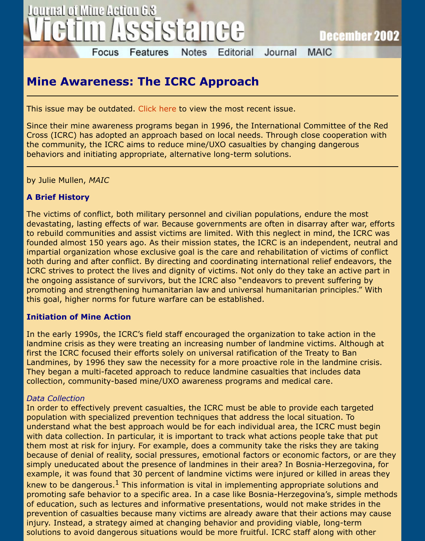# **Mine Awareness: The ICRC Approach**

This issue may be outdated. Click here to view the most recent issue.

Since their mine awareness programs began in 1996, the International Committee of t Cross (ICRC) has adopted an approach based on local needs. Through close cooperation the community, the ICRC aims to reduce mine/UXO casualties by changing dangerous behaviors and initiating appropriate, alternative long-term solutions.

by Julie Mullen, *MAIC*

## **A Brief History**

The victims of conflict, both military personnel and civilian populations, endure the mo devastating, lasting effects of war. Because governments are often in disarray after wa to rebuild communities and assist victims are limited. With this neglect in mind, the IC founded almost 150 years ago. As their mission states, the ICRC is an independent, ne impartial organization whose exclusive goal is the care and rehabilitation of victims of both during and after conflict. By directing and coordinating international relief endeav ICRC strives to protect the lives and dignity of victims. Not only do they take an active the ongoing assistance of survivors, but the ICRC also "endeavors to prevent suffering promoting and strengthening humanitarian law and universal humanitarian principles." this goal, higher norms for future warfare can be established.

## **Initiation of Mine Action**

In the early 1990s, the ICRC's field staff encouraged the organization to take action in landmine crisis as they were treating an increasing number of landmine victims. Althou first the ICRC focused their efforts solely on universal ratification of the Treaty to Ban Landmines, by 1996 they saw the necessity for a more proactive role in the landmine They began a multi-faceted approach to reduce landmine casualties that includes data collection, community-based mine/UXO awareness programs and medical care.

#### *Data Collection*

In order to effectively prevent casualties, the ICRC must be able to provide each targe population with specialized prevention techniques that address the local situation. To understand what the best approach would be for each individual area, the ICRC must be with data collection. In particular, it is important to track what actions people take that them most at risk for injury. For example, does a community take the risks they are ta because of denial of reality, social pressures, emotional factors or economic factors, or simply uneducated about the presence of landmines in their area? In Bosnia-Herzegov example, it was found that 30 percent of landmine victims were injured or killed in are knew to be dangerous.<sup>1</sup> This information is vital in implementing appropriate solutions promoting safe behavior to a specific area. In a case like Bosnia-Herzegovina's, simple of education, such as lectures and informative presentations, would not make strides i prevention of casualties because many victims are already aware that their actions may injury. Instead, a strategy aimed at changing behavior and providing viable, long-term solutions to avoid dangerous situations would be more fruitful. ICRC staff along with o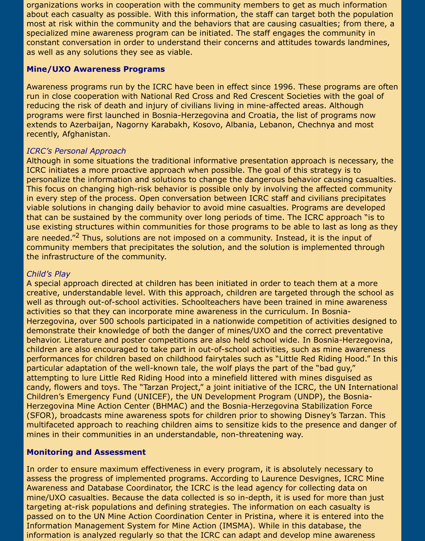organizations works in cooperation with the community members to get as much information about each casualty as possible. With this information, the staff can target both the population most at risk within the community and the behaviors that are causing casualties; from there, a specialized mine awareness program can be initiated. The staff engages the community in constant conversation in order to understand their concerns and attitudes towards landmines, as well as any solutions they see as viable.

### **Mine/UXO Awareness Programs**

Awareness programs run by the ICRC have been in effect since 1996. These programs are often run in close cooperation with National Red Cross and Red Crescent Societies with the goal of reducing the risk of death and injury of civilians living in mine-affected areas. Although programs were first launched in Bosnia-Herzegovina and Croatia, the list of programs now extends to Azerbaijan, Nagorny Karabakh, Kosovo, Albania, Lebanon, Chechnya and most recently, Afghanistan.

## *ICRC's Personal Approach*

Although in some situations the traditional informative presentation approach is necessary, the ICRC initiates a more proactive approach when possible. The goal of this strategy is to personalize the information and solutions to change the dangerous behavior causing casualties. This focus on changing high-risk behavior is possible only by involving the affected community in every step of the process. Open conversation between ICRC staff and civilians precipitates viable solutions in changing daily behavior to avoid mine casualties. Programs are developed that can be sustained by the community over long periods of time. The ICRC approach "is to use existing structures within communities for those programs to be able to last as long as they are needed."<sup>2</sup> Thus, solutions are not imposed on a community. Instead, it is the input of community members that precipitates the solution, and the solution is implemented through the infrastructure of the community.

#### *Child's Play*

A special approach directed at children has been initiated in order to teach them at a more creative, understandable level. With this approach, children are targeted through the school as well as through out-of-school activities. Schoolteachers have been trained in mine awareness activities so that they can incorporate mine awareness in the curriculum. In Bosnia-Herzegovina, over 500 schools participated in a nationwide competition of activities designed to demonstrate their knowledge of both the danger of mines/UXO and the correct preventative behavior. Literature and poster competitions are also held school wide. In Bosnia-Herzegovina, children are also encouraged to take part in out-of-school activities, such as mine awareness performances for children based on childhood fairytales such as "Little Red Riding Hood." In this particular adaptation of the well-known tale, the wolf plays the part of the "bad guy," attempting to lure Little Red Riding Hood into a minefield littered with mines disguised as candy, flowers and toys. The "Tarzan Project," a joint initiative of the ICRC, the UN International Children's Emergency Fund (UNICEF), the UN Development Program (UNDP), the Bosnia-Herzegovina Mine Action Center (BHMAC) and the Bosnia-Herzegovina Stabilization Force (SFOR), broadcasts mine awareness spots for children prior to showing Disney's Tarzan. This multifaceted approach to reaching children aims to sensitize kids to the presence and danger of mines in their communities in an understandable, non-threatening way.

## **Monitoring and Assessment**

In order to ensure maximum effectiveness in every program, it is absolutely necessary to assess the progress of implemented programs. According to Laurence Desvignes, ICRC Mine Awareness and Database Coordinator, the ICRC is the lead agency for collecting data on mine/UXO casualties. Because the data collected is so in-depth, it is used for more than just targeting at-risk populations and defining strategies. The information on each casualty is passed on to the UN Mine Action Coordination Center in Pristina, where it is entered into the Information Management System for Mine Action (IMSMA). While in this database, the information is analyzed regularly so that the ICRC can adapt and develop mine awareness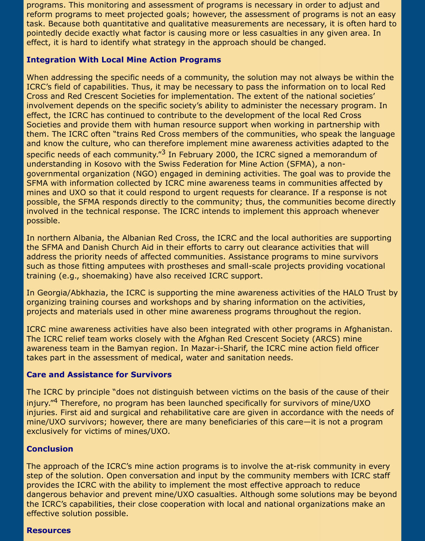programs. This monitoring and assessment of programs is necessary in order to adjust and reform programs to meet projected goals; however, the assessment of programs is not an easy task. Because both quantitative and qualitative measurements are necessary, it is often hard to pointedly decide exactly what factor is causing more or less casualties in any given area. In effect, it is hard to identify what strategy in the approach should be changed.

#### **Integration With Local Mine Action Programs**

When addressing the specific needs of a community, the solution may not always be within the ICRC's field of capabilities. Thus, it may be necessary to pass the information on to local Red Cross and Red Crescent Societies for implementation. The extent of the national societies' involvement depends on the specific society's ability to administer the necessary program. In effect, the ICRC has continued to contribute to the development of the local Red Cross Societies and provide them with human resource support when working in partnership with them. The ICRC often "trains Red Cross members of the communities, who speak the language and know the culture, who can therefore implement mine awareness activities adapted to the specific needs of each community." $3$  In February 2000, the ICRC signed a memorandum of understanding in Kosovo with the Swiss Federation for Mine Action (SFMA), a nongovernmental organization (NGO) engaged in demining activities. The goal was to provide the SFMA with information collected by ICRC mine awareness teams in communities affected by mines and UXO so that it could respond to urgent requests for clearance. If a response is not possible, the SFMA responds directly to the community; thus, the communities become directly involved in the technical response. The ICRC intends to implement this approach whenever possible.

In northern Albania, the Albanian Red Cross, the ICRC and the local authorities are supporting the SFMA and Danish Church Aid in their efforts to carry out clearance activities that will address the priority needs of affected communities. Assistance programs to mine survivors such as those fitting amputees with prostheses and small-scale projects providing vocational training (e.g., shoemaking) have also received ICRC support.

In Georgia/Abkhazia, the ICRC is supporting the mine awareness activities of the HALO Trust by organizing training courses and workshops and by sharing information on the activities, projects and materials used in other mine awareness programs throughout the region.

ICRC mine awareness activities have also been integrated with other programs in Afghanistan. The ICRC relief team works closely with the Afghan Red Crescent Society (ARCS) mine awareness team in the Bamyan region. In Mazar-i-Sharif, the ICRC mine action field officer takes part in the assessment of medical, water and sanitation needs.

## **Care and Assistance for Survivors**

The ICRC by principle "does not distinguish between victims on the basis of the cause of their injury."<sup>4</sup> Therefore, no program has been launched specifically for survivors of mine/UXO injuries. First aid and surgical and rehabilitative care are given in accordance with the needs of mine/UXO survivors; however, there are many beneficiaries of this care—it is not a program exclusively for victims of mines/UXO.

## **Conclusion**

The approach of the ICRC's mine action programs is to involve the at-risk community in every step of the solution. Open conversation and input by the community members with ICRC staff provides the ICRC with the ability to implement the most effective approach to reduce dangerous behavior and prevent mine/UXO casualties. Although some solutions may be beyond the ICRC's capabilities, their close cooperation with local and national organizations make an effective solution possible.

#### **Resources**